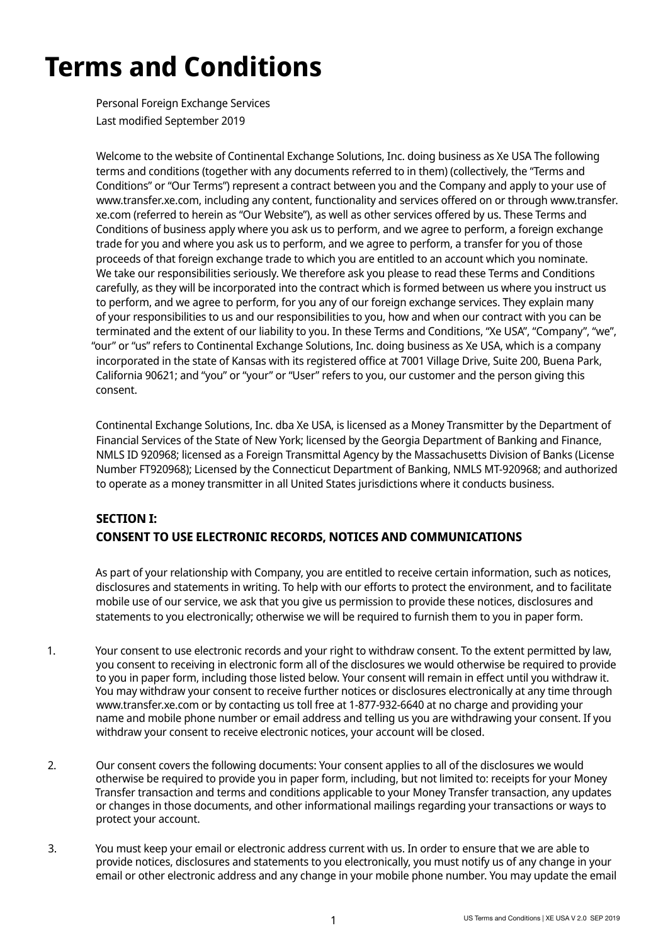# **Terms and Conditions**

Personal Foreign Exchange Services Last modified September 2019

Welcome to the website of Continental Exchange Solutions, Inc. doing business as Xe USA The following terms and conditions (together with any documents referred to in them) (collectively, the "Terms and Conditions" or "Our Terms") represent a contract between you and the Company and apply to your use of www.transfer.xe.com, including any content, functionality and services offered on or through www.transfer. xe.com (referred to herein as "Our Website"), as well as other services offered by us. These Terms and Conditions of business apply where you ask us to perform, and we agree to perform, a foreign exchange trade for you and where you ask us to perform, and we agree to perform, a transfer for you of those proceeds of that foreign exchange trade to which you are entitled to an account which you nominate. We take our responsibilities seriously. We therefore ask you please to read these Terms and Conditions carefully, as they will be incorporated into the contract which is formed between us where you instruct us to perform, and we agree to perform, for you any of our foreign exchange services. They explain many of your responsibilities to us and our responsibilities to you, how and when our contract with you can be terminated and the extent of our liability to you. In these Terms and Conditions, "Xe USA", "Company", "we", "our" or "us" refers to Continental Exchange Solutions, Inc. doing business as Xe USA, which is a company incorporated in the state of Kansas with its registered office at 7001 Village Drive, Suite 200, Buena Park, California 90621; and "you" or "your" or "User" refers to you, our customer and the person giving this consent.

Continental Exchange Solutions, Inc. dba Xe USA, is licensed as a Money Transmitter by the Department of Financial Services of the State of New York; licensed by the Georgia Department of Banking and Finance, NMLS ID 920968; licensed as a Foreign Transmittal Agency by the Massachusetts Division of Banks (License Number FT920968); Licensed by the Connecticut Department of Banking, NMLS MT-920968; and authorized to operate as a money transmitter in all United States jurisdictions where it conducts business.

# **SECTION I: CONSENT TO USE ELECTRONIC RECORDS, NOTICES AND COMMUNICATIONS**

As part of your relationship with Company, you are entitled to receive certain information, such as notices, disclosures and statements in writing. To help with our efforts to protect the environment, and to facilitate mobile use of our service, we ask that you give us permission to provide these notices, disclosures and statements to you electronically; otherwise we will be required to furnish them to you in paper form.

- 1. Your consent to use electronic records and your right to withdraw consent. To the extent permitted by law, you consent to receiving in electronic form all of the disclosures we would otherwise be required to provide to you in paper form, including those listed below. Your consent will remain in effect until you withdraw it. You may withdraw your consent to receive further notices or disclosures electronically at any time through www.transfer.xe.com or by contacting us toll free at 1-877-932-6640 at no charge and providing your name and mobile phone number or email address and telling us you are withdrawing your consent. If you withdraw your consent to receive electronic notices, your account will be closed.
- 2. Our consent covers the following documents: Your consent applies to all of the disclosures we would otherwise be required to provide you in paper form, including, but not limited to: receipts for your Money Transfer transaction and terms and conditions applicable to your Money Transfer transaction, any updates or changes in those documents, and other informational mailings regarding your transactions or ways to protect your account.
- 3. You must keep your email or electronic address current with us. In order to ensure that we are able to provide notices, disclosures and statements to you electronically, you must notify us of any change in your email or other electronic address and any change in your mobile phone number. You may update the email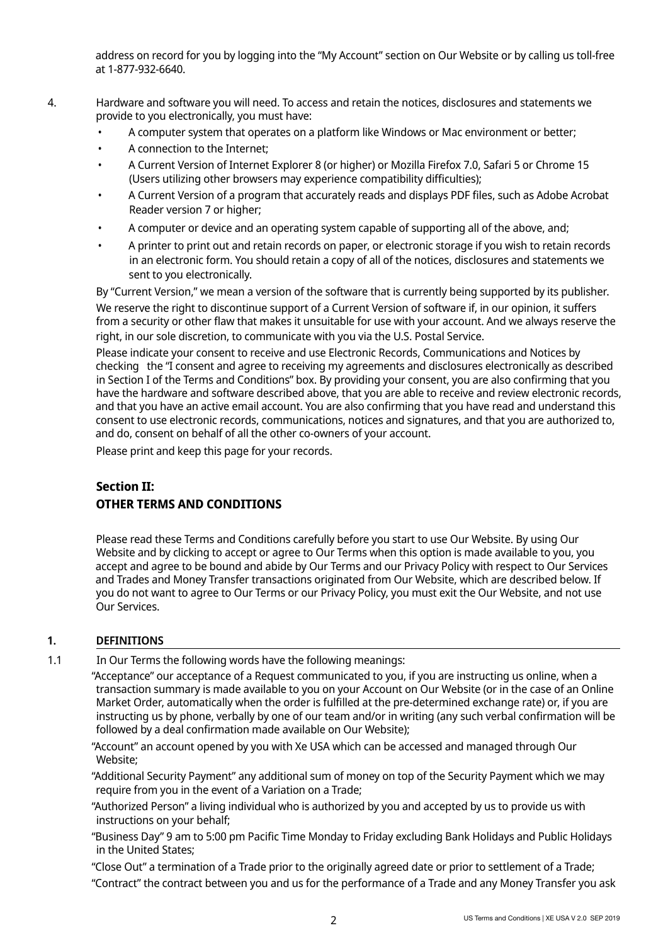address on record for you by logging into the "My Account" section on Our Website or by calling us toll-free at 1-877-932-6640.

- 4. Hardware and software you will need. To access and retain the notices, disclosures and statements we provide to you electronically, you must have:
	- A computer system that operates on a platform like Windows or Mac environment or better;
	- A connection to the Internet;
	- A Current Version of Internet Explorer 8 (or higher) or Mozilla Firefox 7.0, Safari 5 or Chrome 15 (Users utilizing other browsers may experience compatibility difficulties);
	- A Current Version of a program that accurately reads and displays PDF files, such as Adobe Acrobat Reader version 7 or higher;
	- A computer or device and an operating system capable of supporting all of the above, and;
	- A printer to print out and retain records on paper, or electronic storage if you wish to retain records in an electronic form. You should retain a copy of all of the notices, disclosures and statements we sent to you electronically.

By "Current Version," we mean a version of the software that is currently being supported by its publisher.

We reserve the right to discontinue support of a Current Version of software if, in our opinion, it suffers from a security or other flaw that makes it unsuitable for use with your account. And we always reserve the right, in our sole discretion, to communicate with you via the U.S. Postal Service.

Please indicate your consent to receive and use Electronic Records, Communications and Notices by checking the "I consent and agree to receiving my agreements and disclosures electronically as described in Section I of the Terms and Conditions" box. By providing your consent, you are also confirming that you have the hardware and software described above, that you are able to receive and review electronic records, and that you have an active email account. You are also confirming that you have read and understand this consent to use electronic records, communications, notices and signatures, and that you are authorized to, and do, consent on behalf of all the other co-owners of your account.

Please print and keep this page for your records.

# **Section II: OTHER TERMS AND CONDITIONS**

Please read these Terms and Conditions carefully before you start to use Our Website. By using Our Website and by clicking to accept or agree to Our Terms when this option is made available to you, you accept and agree to be bound and abide by Our Terms and our Privacy Policy with respect to Our Services and Trades and Money Transfer transactions originated from Our Website, which are described below. If you do not want to agree to Our Terms or our Privacy Policy, you must exit the Our Website, and not use Our Services.

# **1. DEFINITIONS**

1.1 In Our Terms the following words have the following meanings:

"Acceptance" our acceptance of a Request communicated to you, if you are instructing us online, when a transaction summary is made available to you on your Account on Our Website (or in the case of an Online Market Order, automatically when the order is fulfilled at the pre-determined exchange rate) or, if you are instructing us by phone, verbally by one of our team and/or in writing (any such verbal confirmation will be followed by a deal confirmation made available on Our Website);

"Account" an account opened by you with Xe USA which can be accessed and managed through Our Website;

"Additional Security Payment" any additional sum of money on top of the Security Payment which we may require from you in the event of a Variation on a Trade;

- "Authorized Person" a living individual who is authorized by you and accepted by us to provide us with instructions on your behalf;
- "Business Day" 9 am to 5:00 pm Pacific Time Monday to Friday excluding Bank Holidays and Public Holidays in the United States;
- "Close Out" a termination of a Trade prior to the originally agreed date or prior to settlement of a Trade;
- "Contract" the contract between you and us for the performance of a Trade and any Money Transfer you ask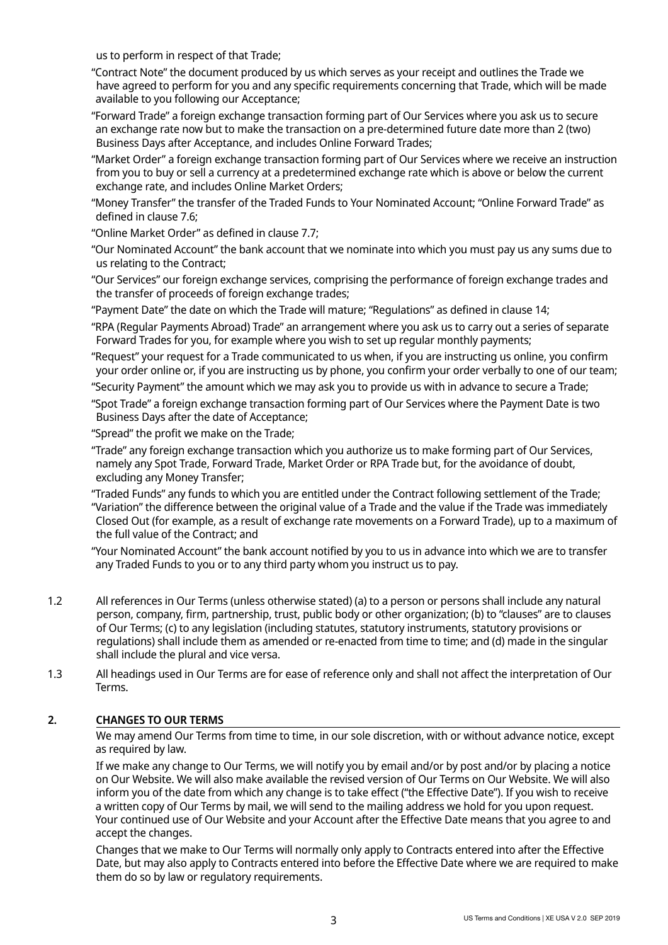us to perform in respect of that Trade;

- "Contract Note" the document produced by us which serves as your receipt and outlines the Trade we have agreed to perform for you and any specific requirements concerning that Trade, which will be made available to you following our Acceptance;
- "Forward Trade" a foreign exchange transaction forming part of Our Services where you ask us to secure an exchange rate now but to make the transaction on a pre-determined future date more than 2 (two) Business Days after Acceptance, and includes Online Forward Trades;
- "Market Order" a foreign exchange transaction forming part of Our Services where we receive an instruction from you to buy or sell a currency at a predetermined exchange rate which is above or below the current exchange rate, and includes Online Market Orders;
- "Money Transfer" the transfer of the Traded Funds to Your Nominated Account; "Online Forward Trade" as defined in clause 7.6;
- "Online Market Order" as defined in clause 7.7;
- "Our Nominated Account" the bank account that we nominate into which you must pay us any sums due to us relating to the Contract;
- "Our Services" our foreign exchange services, comprising the performance of foreign exchange trades and the transfer of proceeds of foreign exchange trades;
- "Payment Date" the date on which the Trade will mature; "Regulations" as defined in clause 14;
- "RPA (Regular Payments Abroad) Trade" an arrangement where you ask us to carry out a series of separate Forward Trades for you, for example where you wish to set up regular monthly payments;
- "Request" your request for a Trade communicated to us when, if you are instructing us online, you confirm your order online or, if you are instructing us by phone, you confirm your order verbally to one of our team;
- "Security Payment" the amount which we may ask you to provide us with in advance to secure a Trade;
- "Spot Trade" a foreign exchange transaction forming part of Our Services where the Payment Date is two Business Days after the date of Acceptance;
- "Spread" the profit we make on the Trade;
- "Trade" any foreign exchange transaction which you authorize us to make forming part of Our Services, namely any Spot Trade, Forward Trade, Market Order or RPA Trade but, for the avoidance of doubt, excluding any Money Transfer;
- "Traded Funds" any funds to which you are entitled under the Contract following settlement of the Trade; "Variation" the difference between the original value of a Trade and the value if the Trade was immediately Closed Out (for example, as a result of exchange rate movements on a Forward Trade), up to a maximum of the full value of the Contract; and
- "Your Nominated Account" the bank account notified by you to us in advance into which we are to transfer any Traded Funds to you or to any third party whom you instruct us to pay.
- 1.2 All references in Our Terms (unless otherwise stated) (a) to a person or persons shall include any natural person, company, firm, partnership, trust, public body or other organization; (b) to "clauses" are to clauses of Our Terms; (c) to any legislation (including statutes, statutory instruments, statutory provisions or regulations) shall include them as amended or re-enacted from time to time; and (d) made in the singular shall include the plural and vice versa.
- 1.3 All headings used in Our Terms are for ease of reference only and shall not affect the interpretation of Our Terms.

# **2. CHANGES TO OUR TERMS**

We may amend Our Terms from time to time, in our sole discretion, with or without advance notice, except as required by law.

If we make any change to Our Terms, we will notify you by email and/or by post and/or by placing a notice on Our Website. We will also make available the revised version of Our Terms on Our Website. We will also inform you of the date from which any change is to take effect ("the Effective Date"). If you wish to receive a written copy of Our Terms by mail, we will send to the mailing address we hold for you upon request. Your continued use of Our Website and your Account after the Effective Date means that you agree to and accept the changes.

Changes that we make to Our Terms will normally only apply to Contracts entered into after the Effective Date, but may also apply to Contracts entered into before the Effective Date where we are required to make them do so by law or regulatory requirements.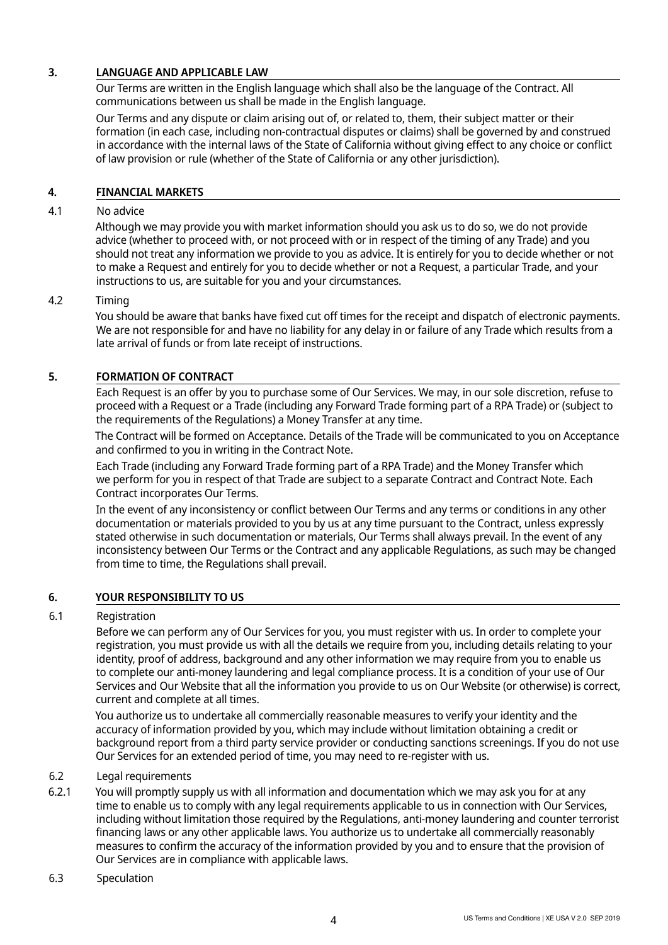# **3. LANGUAGE AND APPLICABLE LAW**

Our Terms are written in the English language which shall also be the language of the Contract. All communications between us shall be made in the English language.

Our Terms and any dispute or claim arising out of, or related to, them, their subject matter or their formation (in each case, including non-contractual disputes or claims) shall be governed by and construed in accordance with the internal laws of the State of California without giving effect to any choice or conflict of law provision or rule (whether of the State of California or any other jurisdiction).

# **4. FINANCIAL MARKETS**

#### 4.1 No advice

Although we may provide you with market information should you ask us to do so, we do not provide advice (whether to proceed with, or not proceed with or in respect of the timing of any Trade) and you should not treat any information we provide to you as advice. It is entirely for you to decide whether or not to make a Request and entirely for you to decide whether or not a Request, a particular Trade, and your instructions to us, are suitable for you and your circumstances.

#### 4.2 Timing

You should be aware that banks have fixed cut off times for the receipt and dispatch of electronic payments. We are not responsible for and have no liability for any delay in or failure of any Trade which results from a late arrival of funds or from late receipt of instructions.

### **5. FORMATION OF CONTRACT**

Each Request is an offer by you to purchase some of Our Services. We may, in our sole discretion, refuse to proceed with a Request or a Trade (including any Forward Trade forming part of a RPA Trade) or (subject to the requirements of the Regulations) a Money Transfer at any time.

The Contract will be formed on Acceptance. Details of the Trade will be communicated to you on Acceptance and confirmed to you in writing in the Contract Note.

Each Trade (including any Forward Trade forming part of a RPA Trade) and the Money Transfer which we perform for you in respect of that Trade are subject to a separate Contract and Contract Note. Each Contract incorporates Our Terms.

In the event of any inconsistency or conflict between Our Terms and any terms or conditions in any other documentation or materials provided to you by us at any time pursuant to the Contract, unless expressly stated otherwise in such documentation or materials, Our Terms shall always prevail. In the event of any inconsistency between Our Terms or the Contract and any applicable Regulations, as such may be changed from time to time, the Regulations shall prevail.

### **6. YOUR RESPONSIBILITY TO US**

#### 6.1 Registration

Before we can perform any of Our Services for you, you must register with us. In order to complete your registration, you must provide us with all the details we require from you, including details relating to your identity, proof of address, background and any other information we may require from you to enable us to complete our anti-money laundering and legal compliance process. It is a condition of your use of Our Services and Our Website that all the information you provide to us on Our Website (or otherwise) is correct, current and complete at all times.

You authorize us to undertake all commercially reasonable measures to verify your identity and the accuracy of information provided by you, which may include without limitation obtaining a credit or background report from a third party service provider or conducting sanctions screenings. If you do not use Our Services for an extended period of time, you may need to re-register with us.

### 6.2 Legal requirements

- 6.2.1 You will promptly supply us with all information and documentation which we may ask you for at any time to enable us to comply with any legal requirements applicable to us in connection with Our Services, including without limitation those required by the Regulations, anti-money laundering and counter terrorist financing laws or any other applicable laws. You authorize us to undertake all commercially reasonably measures to confirm the accuracy of the information provided by you and to ensure that the provision of Our Services are in compliance with applicable laws.
- 6.3 Speculation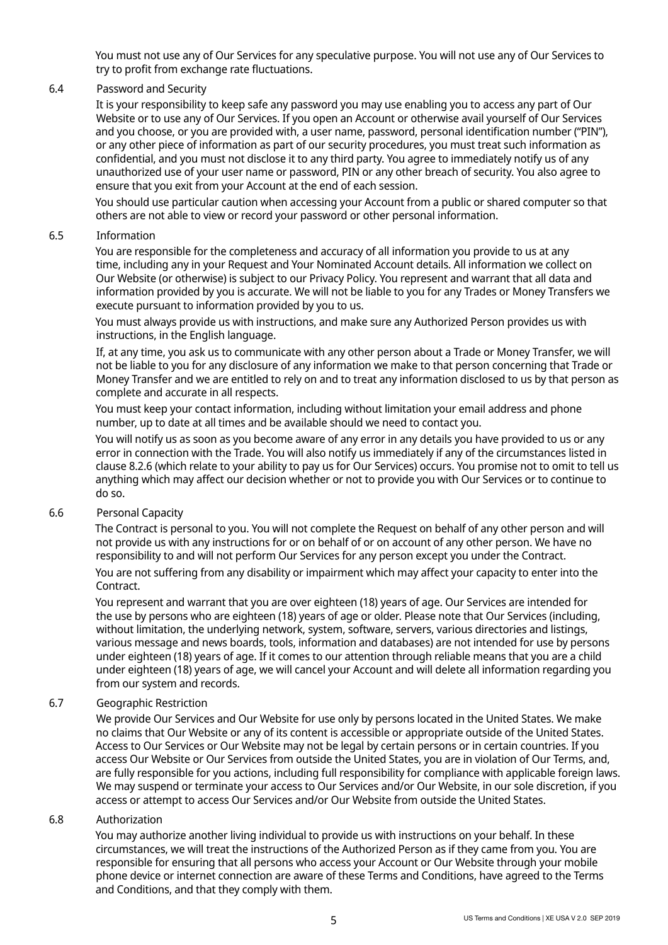You must not use any of Our Services for any speculative purpose. You will not use any of Our Services to try to profit from exchange rate fluctuations.

#### 6.4 Password and Security

It is your responsibility to keep safe any password you may use enabling you to access any part of Our Website or to use any of Our Services. If you open an Account or otherwise avail yourself of Our Services and you choose, or you are provided with, a user name, password, personal identification number ("PIN"), or any other piece of information as part of our security procedures, you must treat such information as confidential, and you must not disclose it to any third party. You agree to immediately notify us of any unauthorized use of your user name or password, PIN or any other breach of security. You also agree to ensure that you exit from your Account at the end of each session.

You should use particular caution when accessing your Account from a public or shared computer so that others are not able to view or record your password or other personal information.

#### 6.5 Information

You are responsible for the completeness and accuracy of all information you provide to us at any time, including any in your Request and Your Nominated Account details. All information we collect on Our Website (or otherwise) is subject to our Privacy Policy. You represent and warrant that all data and information provided by you is accurate. We will not be liable to you for any Trades or Money Transfers we execute pursuant to information provided by you to us.

You must always provide us with instructions, and make sure any Authorized Person provides us with instructions, in the English language.

If, at any time, you ask us to communicate with any other person about a Trade or Money Transfer, we will not be liable to you for any disclosure of any information we make to that person concerning that Trade or Money Transfer and we are entitled to rely on and to treat any information disclosed to us by that person as complete and accurate in all respects.

You must keep your contact information, including without limitation your email address and phone number, up to date at all times and be available should we need to contact you.

You will notify us as soon as you become aware of any error in any details you have provided to us or any error in connection with the Trade. You will also notify us immediately if any of the circumstances listed in clause 8.2.6 (which relate to your ability to pay us for Our Services) occurs. You promise not to omit to tell us anything which may affect our decision whether or not to provide you with Our Services or to continue to do so.

#### 6.6 Personal Capacity

The Contract is personal to you. You will not complete the Request on behalf of any other person and will not provide us with any instructions for or on behalf of or on account of any other person. We have no responsibility to and will not perform Our Services for any person except you under the Contract.

You are not suffering from any disability or impairment which may affect your capacity to enter into the Contract.

You represent and warrant that you are over eighteen (18) years of age. Our Services are intended for the use by persons who are eighteen (18) years of age or older. Please note that Our Services (including, without limitation, the underlying network, system, software, servers, various directories and listings, various message and news boards, tools, information and databases) are not intended for use by persons under eighteen (18) years of age. If it comes to our attention through reliable means that you are a child under eighteen (18) years of age, we will cancel your Account and will delete all information regarding you from our system and records.

#### 6.7 Geographic Restriction

We provide Our Services and Our Website for use only by persons located in the United States. We make no claims that Our Website or any of its content is accessible or appropriate outside of the United States. Access to Our Services or Our Website may not be legal by certain persons or in certain countries. If you access Our Website or Our Services from outside the United States, you are in violation of Our Terms, and, are fully responsible for you actions, including full responsibility for compliance with applicable foreign laws. We may suspend or terminate your access to Our Services and/or Our Website, in our sole discretion, if you access or attempt to access Our Services and/or Our Website from outside the United States.

#### 6.8 Authorization

You may authorize another living individual to provide us with instructions on your behalf. In these circumstances, we will treat the instructions of the Authorized Person as if they came from you. You are responsible for ensuring that all persons who access your Account or Our Website through your mobile phone device or internet connection are aware of these Terms and Conditions, have agreed to the Terms and Conditions, and that they comply with them.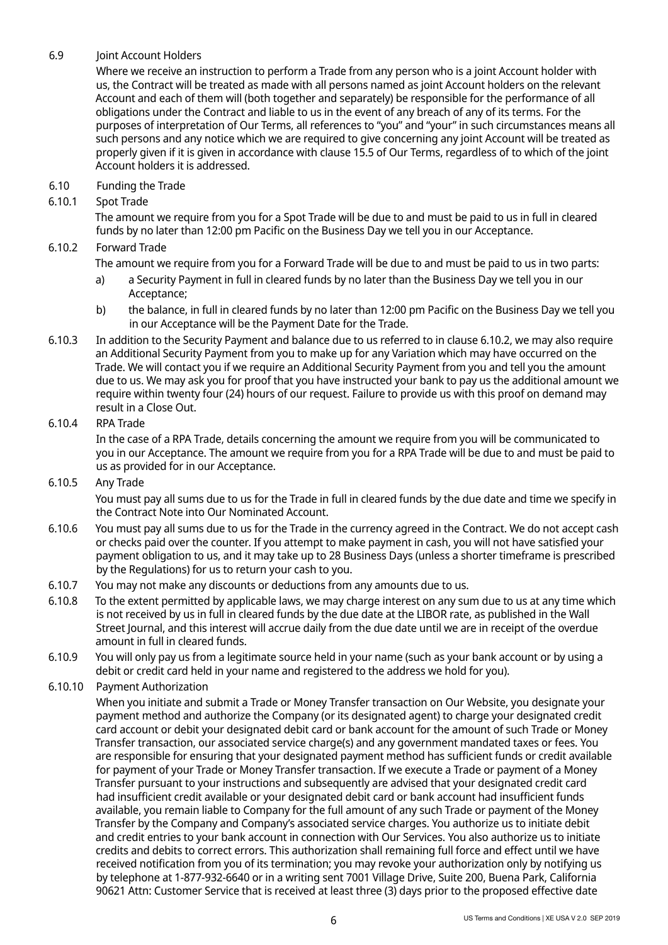# 6.9 Joint Account Holders

Where we receive an instruction to perform a Trade from any person who is a joint Account holder with us, the Contract will be treated as made with all persons named as joint Account holders on the relevant Account and each of them will (both together and separately) be responsible for the performance of all obligations under the Contract and liable to us in the event of any breach of any of its terms. For the purposes of interpretation of Our Terms, all references to "you" and "your" in such circumstances means all such persons and any notice which we are required to give concerning any joint Account will be treated as properly given if it is given in accordance with clause 15.5 of Our Terms, regardless of to which of the joint Account holders it is addressed.

6.10 Funding the Trade

# 6.10.1 Spot Trade

The amount we require from you for a Spot Trade will be due to and must be paid to us in full in cleared funds by no later than 12:00 pm Pacific on the Business Day we tell you in our Acceptance.

# 6.10.2 Forward Trade

The amount we require from you for a Forward Trade will be due to and must be paid to us in two parts:

- a) a Security Payment in full in cleared funds by no later than the Business Day we tell you in our Acceptance;
- b) the balance, in full in cleared funds by no later than 12:00 pm Pacific on the Business Day we tell you in our Acceptance will be the Payment Date for the Trade.
- 6.10.3 In addition to the Security Payment and balance due to us referred to in clause 6.10.2, we may also require an Additional Security Payment from you to make up for any Variation which may have occurred on the Trade. We will contact you if we require an Additional Security Payment from you and tell you the amount due to us. We may ask you for proof that you have instructed your bank to pay us the additional amount we require within twenty four (24) hours of our request. Failure to provide us with this proof on demand may result in a Close Out.

# 6.10.4 RPA Trade

In the case of a RPA Trade, details concerning the amount we require from you will be communicated to you in our Acceptance. The amount we require from you for a RPA Trade will be due to and must be paid to us as provided for in our Acceptance.

#### 6.10.5 Any Trade

You must pay all sums due to us for the Trade in full in cleared funds by the due date and time we specify in the Contract Note into Our Nominated Account.

- 6.10.6 You must pay all sums due to us for the Trade in the currency agreed in the Contract. We do not accept cash or checks paid over the counter. If you attempt to make payment in cash, you will not have satisfied your payment obligation to us, and it may take up to 28 Business Days (unless a shorter timeframe is prescribed by the Regulations) for us to return your cash to you.
- 6.10.7 You may not make any discounts or deductions from any amounts due to us.
- 6.10.8 To the extent permitted by applicable laws, we may charge interest on any sum due to us at any time which is not received by us in full in cleared funds by the due date at the LIBOR rate, as published in the Wall Street Journal, and this interest will accrue daily from the due date until we are in receipt of the overdue amount in full in cleared funds.
- 6.10.9 You will only pay us from a legitimate source held in your name (such as your bank account or by using a debit or credit card held in your name and registered to the address we hold for you).
- 6.10.10 Payment Authorization

When you initiate and submit a Trade or Money Transfer transaction on Our Website, you designate your payment method and authorize the Company (or its designated agent) to charge your designated credit card account or debit your designated debit card or bank account for the amount of such Trade or Money Transfer transaction, our associated service charge(s) and any government mandated taxes or fees. You are responsible for ensuring that your designated payment method has sufficient funds or credit available for payment of your Trade or Money Transfer transaction. If we execute a Trade or payment of a Money Transfer pursuant to your instructions and subsequently are advised that your designated credit card had insufficient credit available or your designated debit card or bank account had insufficient funds available, you remain liable to Company for the full amount of any such Trade or payment of the Money Transfer by the Company and Company's associated service charges. You authorize us to initiate debit and credit entries to your bank account in connection with Our Services. You also authorize us to initiate credits and debits to correct errors. This authorization shall remaining full force and effect until we have received notification from you of its termination; you may revoke your authorization only by notifying us by telephone at 1-877-932-6640 or in a writing sent 7001 Village Drive, Suite 200, Buena Park, California 90621 Attn: Customer Service that is received at least three (3) days prior to the proposed effective date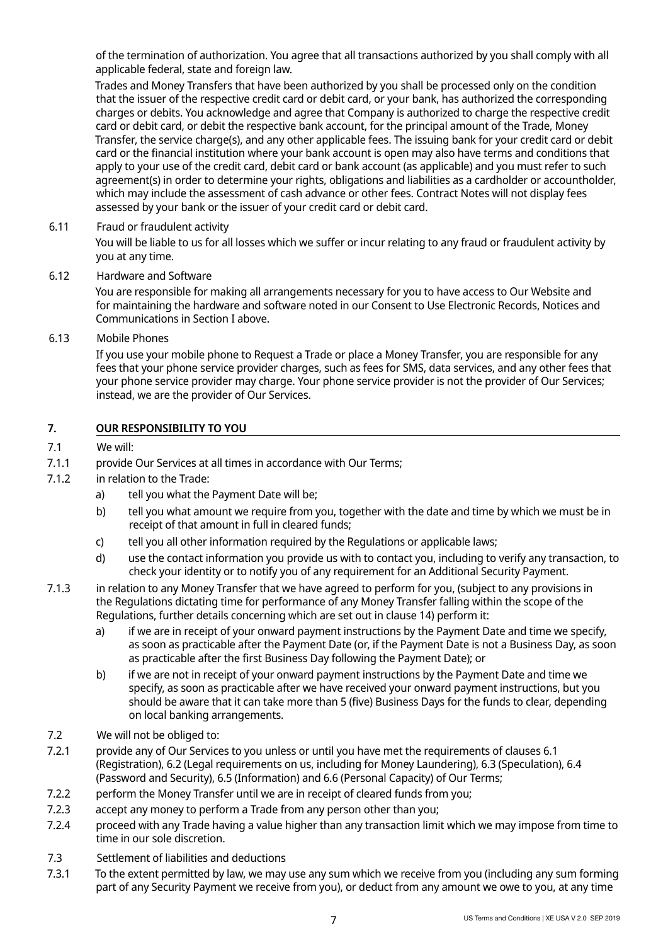of the termination of authorization. You agree that all transactions authorized by you shall comply with all applicable federal, state and foreign law.

Trades and Money Transfers that have been authorized by you shall be processed only on the condition that the issuer of the respective credit card or debit card, or your bank, has authorized the corresponding charges or debits. You acknowledge and agree that Company is authorized to charge the respective credit card or debit card, or debit the respective bank account, for the principal amount of the Trade, Money Transfer, the service charge(s), and any other applicable fees. The issuing bank for your credit card or debit card or the financial institution where your bank account is open may also have terms and conditions that apply to your use of the credit card, debit card or bank account (as applicable) and you must refer to such agreement(s) in order to determine your rights, obligations and liabilities as a cardholder or accountholder, which may include the assessment of cash advance or other fees. Contract Notes will not display fees assessed by your bank or the issuer of your credit card or debit card.

6.11 Fraud or fraudulent activity

You will be liable to us for all losses which we suffer or incur relating to any fraud or fraudulent activity by you at any time.

6.12 Hardware and Software

You are responsible for making all arrangements necessary for you to have access to Our Website and for maintaining the hardware and software noted in our Consent to Use Electronic Records, Notices and Communications in Section I above.

6.13 Mobile Phones

If you use your mobile phone to Request a Trade or place a Money Transfer, you are responsible for any fees that your phone service provider charges, such as fees for SMS, data services, and any other fees that your phone service provider may charge. Your phone service provider is not the provider of Our Services; instead, we are the provider of Our Services.

# **7. OUR RESPONSIBILITY TO YOU**

# 7.1 We will:

- 7.1.1 provide Our Services at all times in accordance with Our Terms;
- 7.1.2 in relation to the Trade:
	- a) tell you what the Payment Date will be;
	- b) tell you what amount we require from you, together with the date and time by which we must be in receipt of that amount in full in cleared funds;
	- c) tell you all other information required by the Regulations or applicable laws;
	- d) use the contact information you provide us with to contact you, including to verify any transaction, to check your identity or to notify you of any requirement for an Additional Security Payment.
- 7.1.3 in relation to any Money Transfer that we have agreed to perform for you, (subject to any provisions in the Regulations dictating time for performance of any Money Transfer falling within the scope of the Regulations, further details concerning which are set out in clause 14) perform it:
	- a) if we are in receipt of your onward payment instructions by the Payment Date and time we specify, as soon as practicable after the Payment Date (or, if the Payment Date is not a Business Day, as soon as practicable after the first Business Day following the Payment Date); or
	- b) if we are not in receipt of your onward payment instructions by the Payment Date and time we specify, as soon as practicable after we have received your onward payment instructions, but you should be aware that it can take more than 5 (five) Business Days for the funds to clear, depending on local banking arrangements.
- 7.2 We will not be obliged to:
- 7.2.1 provide any of Our Services to you unless or until you have met the requirements of clauses 6.1 (Registration), 6.2 (Legal requirements on us, including for Money Laundering), 6.3 (Speculation), 6.4 (Password and Security), 6.5 (Information) and 6.6 (Personal Capacity) of Our Terms;
- 7.2.2 perform the Money Transfer until we are in receipt of cleared funds from you;
- 7.2.3 accept any money to perform a Trade from any person other than you;
- 7.2.4 proceed with any Trade having a value higher than any transaction limit which we may impose from time to time in our sole discretion.
- 7.3 Settlement of liabilities and deductions
- 7.3.1 To the extent permitted by law, we may use any sum which we receive from you (including any sum forming part of any Security Payment we receive from you), or deduct from any amount we owe to you, at any time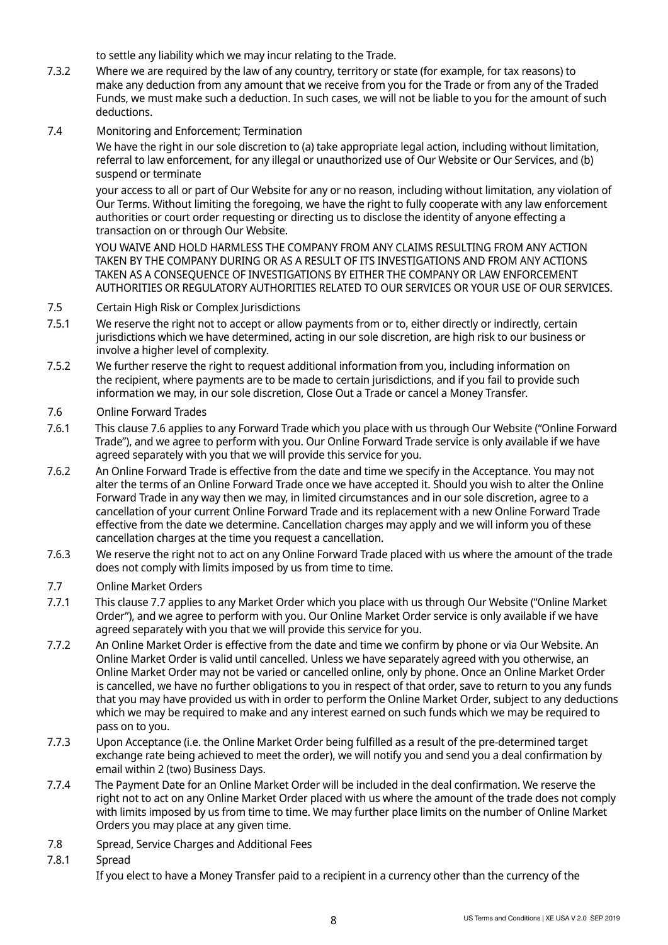to settle any liability which we may incur relating to the Trade.

- 7.3.2 Where we are required by the law of any country, territory or state (for example, for tax reasons) to make any deduction from any amount that we receive from you for the Trade or from any of the Traded Funds, we must make such a deduction. In such cases, we will not be liable to you for the amount of such deductions.
- 7.4 Monitoring and Enforcement; Termination

We have the right in our sole discretion to (a) take appropriate legal action, including without limitation, referral to law enforcement, for any illegal or unauthorized use of Our Website or Our Services, and (b) suspend or terminate

your access to all or part of Our Website for any or no reason, including without limitation, any violation of Our Terms. Without limiting the foregoing, we have the right to fully cooperate with any law enforcement authorities or court order requesting or directing us to disclose the identity of anyone effecting a transaction on or through Our Website.

YOU WAIVE AND HOLD HARMLESS THE COMPANY FROM ANY CLAIMS RESULTING FROM ANY ACTION TAKEN BY THE COMPANY DURING OR AS A RESULT OF ITS INVESTIGATIONS AND FROM ANY ACTIONS TAKEN AS A CONSEQUENCE OF INVESTIGATIONS BY EITHER THE COMPANY OR LAW ENFORCEMENT AUTHORITIES OR REGULATORY AUTHORITIES RELATED TO OUR SERVICES OR YOUR USE OF OUR SERVICES.

- 7.5 Certain High Risk or Complex Jurisdictions
- 7.5.1 We reserve the right not to accept or allow payments from or to, either directly or indirectly, certain jurisdictions which we have determined, acting in our sole discretion, are high risk to our business or involve a higher level of complexity.
- 7.5.2 We further reserve the right to request additional information from you, including information on the recipient, where payments are to be made to certain jurisdictions, and if you fail to provide such information we may, in our sole discretion, Close Out a Trade or cancel a Money Transfer.
- 7.6 Online Forward Trades
- 7.6.1 This clause 7.6 applies to any Forward Trade which you place with us through Our Website ("Online Forward Trade"), and we agree to perform with you. Our Online Forward Trade service is only available if we have agreed separately with you that we will provide this service for you.
- 7.6.2 An Online Forward Trade is effective from the date and time we specify in the Acceptance. You may not alter the terms of an Online Forward Trade once we have accepted it. Should you wish to alter the Online Forward Trade in any way then we may, in limited circumstances and in our sole discretion, agree to a cancellation of your current Online Forward Trade and its replacement with a new Online Forward Trade effective from the date we determine. Cancellation charges may apply and we will inform you of these cancellation charges at the time you request a cancellation.
- 7.6.3 We reserve the right not to act on any Online Forward Trade placed with us where the amount of the trade does not comply with limits imposed by us from time to time.
- 7.7 Online Market Orders
- 7.7.1 This clause 7.7 applies to any Market Order which you place with us through Our Website ("Online Market Order"), and we agree to perform with you. Our Online Market Order service is only available if we have agreed separately with you that we will provide this service for you.
- 7.7.2 An Online Market Order is effective from the date and time we confirm by phone or via Our Website. An Online Market Order is valid until cancelled. Unless we have separately agreed with you otherwise, an Online Market Order may not be varied or cancelled online, only by phone. Once an Online Market Order is cancelled, we have no further obligations to you in respect of that order, save to return to you any funds that you may have provided us with in order to perform the Online Market Order, subject to any deductions which we may be required to make and any interest earned on such funds which we may be required to pass on to you.
- 7.7.3 Upon Acceptance (i.e. the Online Market Order being fulfilled as a result of the pre-determined target exchange rate being achieved to meet the order), we will notify you and send you a deal confirmation by email within 2 (two) Business Days.
- 7.7.4 The Payment Date for an Online Market Order will be included in the deal confirmation. We reserve the right not to act on any Online Market Order placed with us where the amount of the trade does not comply with limits imposed by us from time to time. We may further place limits on the number of Online Market Orders you may place at any given time.
- 7.8 Spread, Service Charges and Additional Fees
- 7.8.1 Spread

If you elect to have a Money Transfer paid to a recipient in a currency other than the currency of the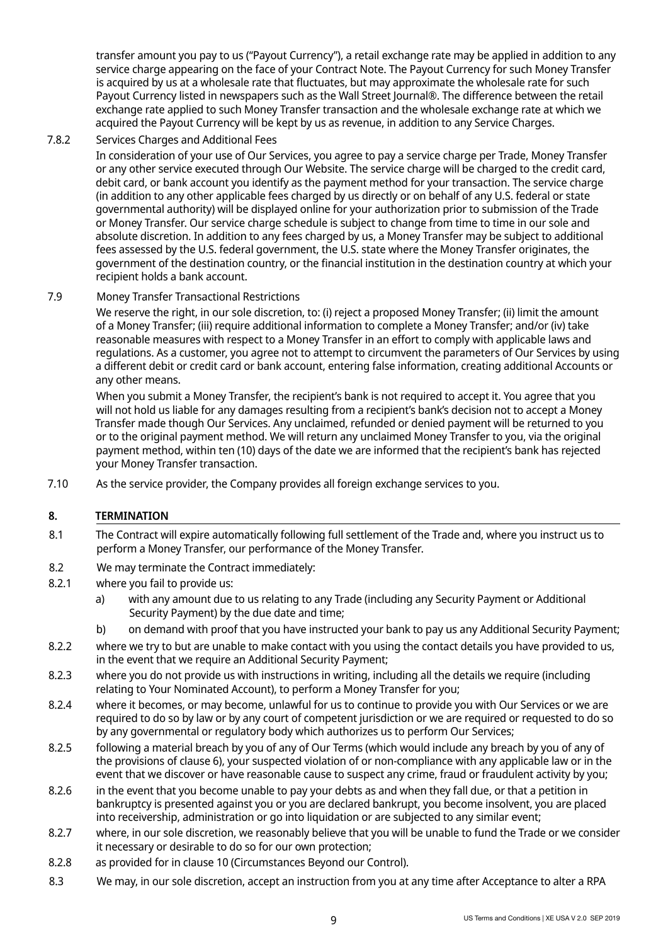transfer amount you pay to us ("Payout Currency"), a retail exchange rate may be applied in addition to any service charge appearing on the face of your Contract Note. The Payout Currency for such Money Transfer is acquired by us at a wholesale rate that fluctuates, but may approximate the wholesale rate for such Payout Currency listed in newspapers such as the Wall Street Journal®. The difference between the retail exchange rate applied to such Money Transfer transaction and the wholesale exchange rate at which we acquired the Payout Currency will be kept by us as revenue, in addition to any Service Charges.

# 7.8.2 Services Charges and Additional Fees

In consideration of your use of Our Services, you agree to pay a service charge per Trade, Money Transfer or any other service executed through Our Website. The service charge will be charged to the credit card, debit card, or bank account you identify as the payment method for your transaction. The service charge (in addition to any other applicable fees charged by us directly or on behalf of any U.S. federal or state governmental authority) will be displayed online for your authorization prior to submission of the Trade or Money Transfer. Our service charge schedule is subject to change from time to time in our sole and absolute discretion. In addition to any fees charged by us, a Money Transfer may be subject to additional fees assessed by the U.S. federal government, the U.S. state where the Money Transfer originates, the government of the destination country, or the financial institution in the destination country at which your recipient holds a bank account.

# 7.9 Money Transfer Transactional Restrictions

We reserve the right, in our sole discretion, to: (i) reject a proposed Money Transfer; (ii) limit the amount of a Money Transfer; (iii) require additional information to complete a Money Transfer; and/or (iv) take reasonable measures with respect to a Money Transfer in an effort to comply with applicable laws and regulations. As a customer, you agree not to attempt to circumvent the parameters of Our Services by using a different debit or credit card or bank account, entering false information, creating additional Accounts or any other means.

When you submit a Money Transfer, the recipient's bank is not required to accept it. You agree that you will not hold us liable for any damages resulting from a recipient's bank's decision not to accept a Money Transfer made though Our Services. Any unclaimed, refunded or denied payment will be returned to you or to the original payment method. We will return any unclaimed Money Transfer to you, via the original payment method, within ten (10) days of the date we are informed that the recipient's bank has rejected your Money Transfer transaction.

7.10 As the service provider, the Company provides all foreign exchange services to you.

# **8. TERMINATION**

- 8.1 The Contract will expire automatically following full settlement of the Trade and, where you instruct us to perform a Money Transfer, our performance of the Money Transfer.
- 8.2 We may terminate the Contract immediately:
- 8.2.1 where you fail to provide us:
	- a) with any amount due to us relating to any Trade (including any Security Payment or Additional Security Payment) by the due date and time;
	- b) on demand with proof that you have instructed your bank to pay us any Additional Security Payment;
- 8.2.2 where we try to but are unable to make contact with you using the contact details you have provided to us, in the event that we require an Additional Security Payment;
- 8.2.3 where you do not provide us with instructions in writing, including all the details we require (including relating to Your Nominated Account), to perform a Money Transfer for you;
- 8.2.4 where it becomes, or may become, unlawful for us to continue to provide you with Our Services or we are required to do so by law or by any court of competent jurisdiction or we are required or requested to do so by any governmental or regulatory body which authorizes us to perform Our Services;
- 8.2.5 following a material breach by you of any of Our Terms (which would include any breach by you of any of the provisions of clause 6), your suspected violation of or non-compliance with any applicable law or in the event that we discover or have reasonable cause to suspect any crime, fraud or fraudulent activity by you;
- 8.2.6 in the event that you become unable to pay your debts as and when they fall due, or that a petition in bankruptcy is presented against you or you are declared bankrupt, you become insolvent, you are placed into receivership, administration or go into liquidation or are subjected to any similar event;
- 8.2.7 where, in our sole discretion, we reasonably believe that you will be unable to fund the Trade or we consider it necessary or desirable to do so for our own protection;
- 8.2.8 as provided for in clause 10 (Circumstances Beyond our Control).
- 8.3 We may, in our sole discretion, accept an instruction from you at any time after Acceptance to alter a RPA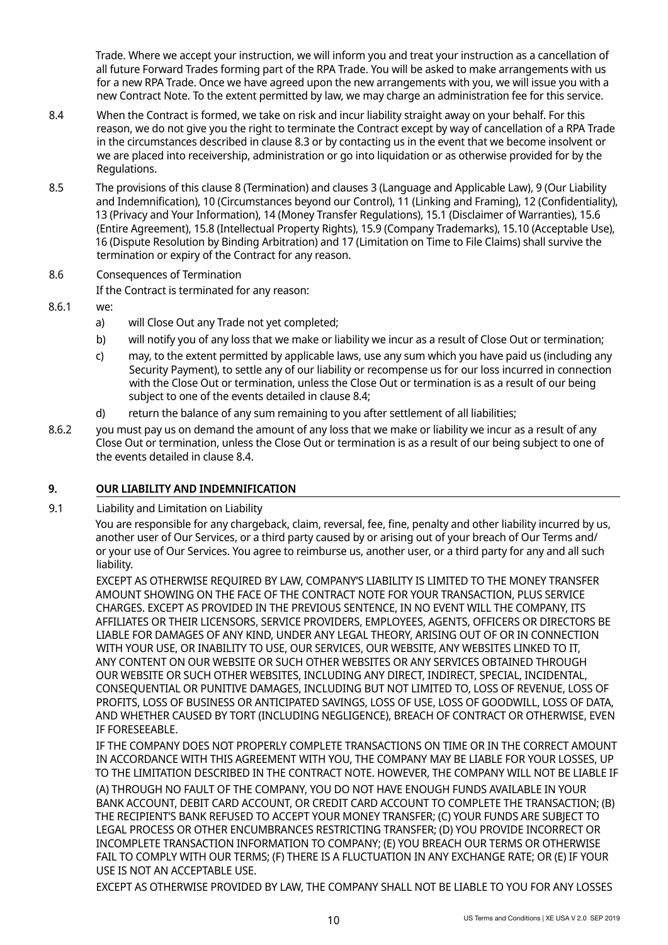Trade. Where we accept your instruction, we will inform you and treat your instruction as a cancellation of all future Forward Trades forming part of the RPA Trade. You will be asked to make arrangements with us for a new RPA Trade. Once we have agreed upon the new arrangements with you, we will issue you with a new Contract Note. To the extent permitted by law, we may charge an administration fee for this service.

- 8.4 When the Contract is formed, we take on risk and incur liability straight away on your behalf. For this reason, we do not give you the right to terminate the Contract except by way of cancellation of a RPA Trade in the circumstances described in clause 8.3 or by contacting us in the event that we become insolvent or we are placed into receivership, administration or go into liquidation or as otherwise provided for by the Regulations.
- 8.5 The provisions of this clause 8 (Termination) and clauses 3 (Language and Applicable Law), 9 (Our Liability and Indemnification), 10 (Circumstances beyond our Control), 11 (Linking and Framing), 12 (Confidentiality), 13 (Privacy and Your Information), 14 (Money Transfer Regulations), 15.1 (Disclaimer of Warranties), 15.6 (Entire Agreement), 15.8 (Intellectual Property Rights), 15.9 (Company Trademarks), 15.10 (Acceptable Use), 16 (Dispute Resolution by Binding Arbitration) and 17 (Limitation on Time to File Claims) shall survive the termination or expiry of the Contract for any reason.

# 8.6 Consequences of Termination

If the Contract is terminated for any reason:

- 8.6.1 we:
	- a) will Close Out any Trade not yet completed;
	- b) will notify you of any loss that we make or liability we incur as a result of Close Out or termination;
	- c) may, to the extent permitted by applicable laws, use any sum which you have paid us (including any Security Payment), to settle any of our liability or recompense us for our loss incurred in connection with the Close Out or termination, unless the Close Out or termination is as a result of our being subject to one of the events detailed in clause 8.4;
	- d) return the balance of any sum remaining to you after settlement of all liabilities;
- 8.6.2 you must pay us on demand the amount of any loss that we make or liability we incur as a result of any Close Out or termination, unless the Close Out or termination is as a result of our being subject to one of the events detailed in clause 8.4.

# **9. OUR LIABILITY AND INDEMNIFICATION**

9.1 Liability and Limitation on Liability

You are responsible for any chargeback, claim, reversal, fee, fine, penalty and other liability incurred by us, another user of Our Services, or a third party caused by or arising out of your breach of Our Terms and/ or your use of Our Services. You agree to reimburse us, another user, or a third party for any and all such liability.

EXCEPT AS OTHERWISE REQUIRED BY LAW, COMPANY'S LIABILITY IS LIMITED TO THE MONEY TRANSFER AMOUNT SHOWING ON THE FACE OF THE CONTRACT NOTE FOR YOUR TRANSACTION, PLUS SERVICE CHARGES. EXCEPT AS PROVIDED IN THE PREVIOUS SENTENCE, IN NO EVENT WILL THE COMPANY, ITS AFFILIATES OR THEIR LICENSORS, SERVICE PROVIDERS, EMPLOYEES, AGENTS, OFFICERS OR DIRECTORS BE LIABLE FOR DAMAGES OF ANY KIND, UNDER ANY LEGAL THEORY, ARISING OUT OF OR IN CONNECTION WITH YOUR USE, OR INABILITY TO USE, OUR SERVICES, OUR WEBSITE, ANY WEBSITES LINKED TO IT, ANY CONTENT ON OUR WEBSITE OR SUCH OTHER WEBSITES OR ANY SERVICES OBTAINED THROUGH OUR WEBSITE OR SUCH OTHER WEBSITES, INCLUDING ANY DIRECT, INDIRECT, SPECIAL, INCIDENTAL, CONSEQUENTIAL OR PUNITIVE DAMAGES, INCLUDING BUT NOT LIMITED TO, LOSS OF REVENUE, LOSS OF PROFITS, LOSS OF BUSINESS OR ANTICIPATED SAVINGS, LOSS OF USE, LOSS OF GOODWILL, LOSS OF DATA, AND WHETHER CAUSED BY TORT (INCLUDING NEGLIGENCE), BREACH OF CONTRACT OR OTHERWISE, EVEN IF FORESEEABLE.

IF THE COMPANY DOES NOT PROPERLY COMPLETE TRANSACTIONS ON TIME OR IN THE CORRECT AMOUNT IN ACCORDANCE WITH THIS AGREEMENT WITH YOU, THE COMPANY MAY BE LIABLE FOR YOUR LOSSES, UP TO THE LIMITATION DESCRIBED IN THE CONTRACT NOTE. HOWEVER, THE COMPANY WILL NOT BE LIABLE IF

(A) THROUGH NO FAULT OF THE COMPANY, YOU DO NOT HAVE ENOUGH FUNDS AVAILABLE IN YOUR BANK ACCOUNT, DEBIT CARD ACCOUNT, OR CREDIT CARD ACCOUNT TO COMPLETE THE TRANSACTION; (B) THE RECIPIENT'S BANK REFUSED TO ACCEPT YOUR MONEY TRANSFER; (C) YOUR FUNDS ARE SUBJECT TO LEGAL PROCESS OR OTHER ENCUMBRANCES RESTRICTING TRANSFER; (D) YOU PROVIDE INCORRECT OR INCOMPLETE TRANSACTION INFORMATION TO COMPANY; (E) YOU BREACH OUR TERMS OR OTHERWISE FAIL TO COMPLY WITH OUR TERMS; (F) THERE IS A FLUCTUATION IN ANY EXCHANGE RATE; OR (E) IF YOUR USE IS NOT AN ACCEPTABLE USE.

EXCEPT AS OTHERWISE PROVIDED BY LAW, THE COMPANY SHALL NOT BE LIABLE TO YOU FOR ANY LOSSES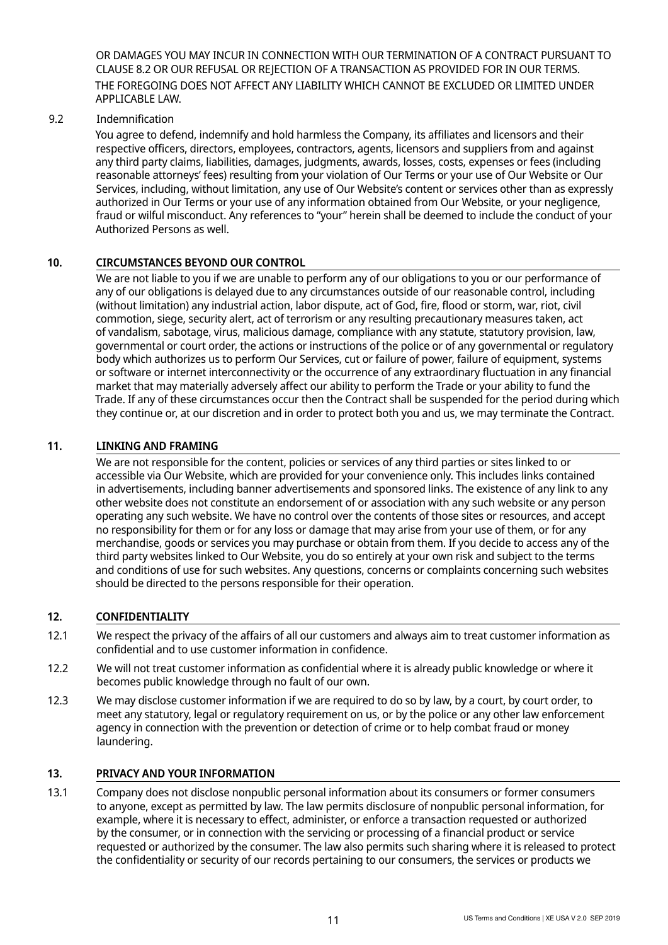OR DAMAGES YOU MAY INCUR IN CONNECTION WITH OUR TERMINATION OF A CONTRACT PURSUANT TO CLAUSE 8.2 OR OUR REFUSAL OR REJECTION OF A TRANSACTION AS PROVIDED FOR IN OUR TERMS. THE FOREGOING DOES NOT AFFECT ANY LIABILITY WHICH CANNOT BE EXCLUDED OR LIMITED UNDER APPLICABLE LAW.

# 9.2 Indemnification

You agree to defend, indemnify and hold harmless the Company, its affiliates and licensors and their respective officers, directors, employees, contractors, agents, licensors and suppliers from and against any third party claims, liabilities, damages, judgments, awards, losses, costs, expenses or fees (including reasonable attorneys' fees) resulting from your violation of Our Terms or your use of Our Website or Our Services, including, without limitation, any use of Our Website's content or services other than as expressly authorized in Our Terms or your use of any information obtained from Our Website, or your negligence, fraud or wilful misconduct. Any references to "your" herein shall be deemed to include the conduct of your Authorized Persons as well.

# **10. CIRCUMSTANCES BEYOND OUR CONTROL**

We are not liable to you if we are unable to perform any of our obligations to you or our performance of any of our obligations is delayed due to any circumstances outside of our reasonable control, including (without limitation) any industrial action, labor dispute, act of God, fire, flood or storm, war, riot, civil commotion, siege, security alert, act of terrorism or any resulting precautionary measures taken, act of vandalism, sabotage, virus, malicious damage, compliance with any statute, statutory provision, law, governmental or court order, the actions or instructions of the police or of any governmental or regulatory body which authorizes us to perform Our Services, cut or failure of power, failure of equipment, systems or software or internet interconnectivity or the occurrence of any extraordinary fluctuation in any financial market that may materially adversely affect our ability to perform the Trade or your ability to fund the Trade. If any of these circumstances occur then the Contract shall be suspended for the period during which they continue or, at our discretion and in order to protect both you and us, we may terminate the Contract.

# **11. LINKING AND FRAMING**

We are not responsible for the content, policies or services of any third parties or sites linked to or accessible via Our Website, which are provided for your convenience only. This includes links contained in advertisements, including banner advertisements and sponsored links. The existence of any link to any other website does not constitute an endorsement of or association with any such website or any person operating any such website. We have no control over the contents of those sites or resources, and accept no responsibility for them or for any loss or damage that may arise from your use of them, or for any merchandise, goods or services you may purchase or obtain from them. If you decide to access any of the third party websites linked to Our Website, you do so entirely at your own risk and subject to the terms and conditions of use for such websites. Any questions, concerns or complaints concerning such websites should be directed to the persons responsible for their operation.

#### **12. CONFIDENTIALITY**

- 12.1 We respect the privacy of the affairs of all our customers and always aim to treat customer information as confidential and to use customer information in confidence.
- 12.2 We will not treat customer information as confidential where it is already public knowledge or where it becomes public knowledge through no fault of our own.
- 12.3 We may disclose customer information if we are required to do so by law, by a court, by court order, to meet any statutory, legal or regulatory requirement on us, or by the police or any other law enforcement agency in connection with the prevention or detection of crime or to help combat fraud or money laundering.

#### **13. PRIVACY AND YOUR INFORMATION**

13.1 Company does not disclose nonpublic personal information about its consumers or former consumers to anyone, except as permitted by law. The law permits disclosure of nonpublic personal information, for example, where it is necessary to effect, administer, or enforce a transaction requested or authorized by the consumer, or in connection with the servicing or processing of a financial product or service requested or authorized by the consumer. The law also permits such sharing where it is released to protect the confidentiality or security of our records pertaining to our consumers, the services or products we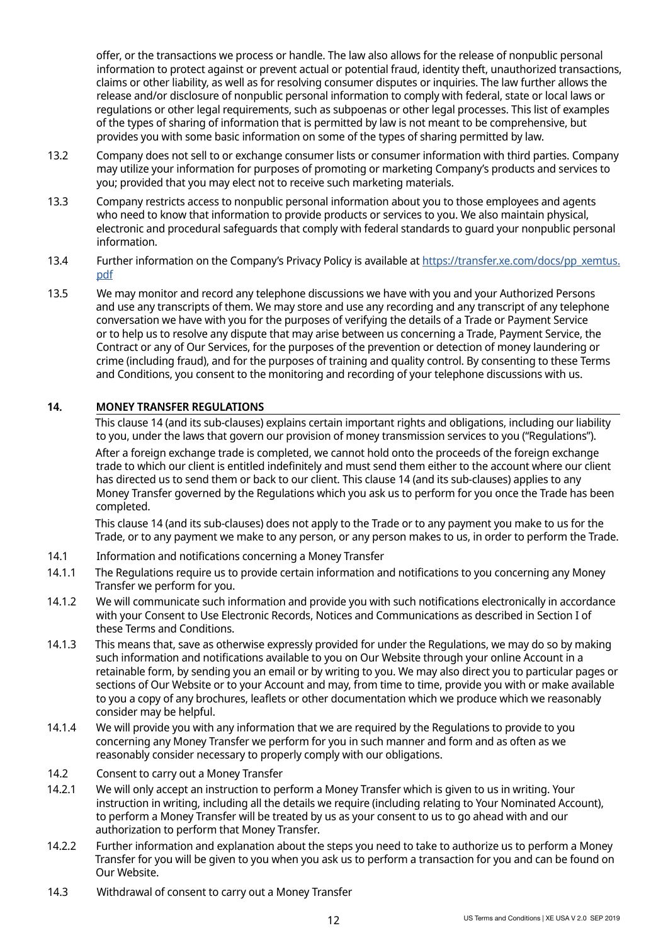offer, or the transactions we process or handle. The law also allows for the release of nonpublic personal information to protect against or prevent actual or potential fraud, identity theft, unauthorized transactions, claims or other liability, as well as for resolving consumer disputes or inquiries. The law further allows the release and/or disclosure of nonpublic personal information to comply with federal, state or local laws or regulations or other legal requirements, such as subpoenas or other legal processes. This list of examples of the types of sharing of information that is permitted by law is not meant to be comprehensive, but provides you with some basic information on some of the types of sharing permitted by law.

- 13.2 Company does not sell to or exchange consumer lists or consumer information with third parties. Company may utilize your information for purposes of promoting or marketing Company's products and services to you; provided that you may elect not to receive such marketing materials.
- 13.3 Company restricts access to nonpublic personal information about you to those employees and agents who need to know that information to provide products or services to you. We also maintain physical, electronic and procedural safeguards that comply with federal standards to guard your nonpublic personal information.
- 13.4 Further information on the Company's Privacy Policy is available at [https://transfer.xe.com/docs/pp\\_xemtus.](https://transfer.xe.com/docs/pp_xemtus.pdf) [pdf](https://transfer.xe.com/docs/pp_xemtus.pdf)
- 13.5 We may monitor and record any telephone discussions we have with you and your Authorized Persons and use any transcripts of them. We may store and use any recording and any transcript of any telephone conversation we have with you for the purposes of verifying the details of a Trade or Payment Service or to help us to resolve any dispute that may arise between us concerning a Trade, Payment Service, the Contract or any of Our Services, for the purposes of the prevention or detection of money laundering or crime (including fraud), and for the purposes of training and quality control. By consenting to these Terms and Conditions, you consent to the monitoring and recording of your telephone discussions with us.

# **14. MONEY TRANSFER REGULATIONS**

This clause 14 (and its sub-clauses) explains certain important rights and obligations, including our liability to you, under the laws that govern our provision of money transmission services to you ("Regulations").

After a foreign exchange trade is completed, we cannot hold onto the proceeds of the foreign exchange trade to which our client is entitled indefinitely and must send them either to the account where our client has directed us to send them or back to our client. This clause 14 (and its sub-clauses) applies to any Money Transfer governed by the Regulations which you ask us to perform for you once the Trade has been completed.

This clause 14 (and its sub-clauses) does not apply to the Trade or to any payment you make to us for the Trade, or to any payment we make to any person, or any person makes to us, in order to perform the Trade.

- 14.1 Information and notifications concerning a Money Transfer
- 14.1.1 The Regulations require us to provide certain information and notifications to you concerning any Money Transfer we perform for you.
- 14.1.2 We will communicate such information and provide you with such notifications electronically in accordance with your Consent to Use Electronic Records, Notices and Communications as described in Section I of these Terms and Conditions.
- 14.1.3 This means that, save as otherwise expressly provided for under the Regulations, we may do so by making such information and notifications available to you on Our Website through your online Account in a retainable form, by sending you an email or by writing to you. We may also direct you to particular pages or sections of Our Website or to your Account and may, from time to time, provide you with or make available to you a copy of any brochures, leaflets or other documentation which we produce which we reasonably consider may be helpful.
- 14.1.4 We will provide you with any information that we are required by the Regulations to provide to you concerning any Money Transfer we perform for you in such manner and form and as often as we reasonably consider necessary to properly comply with our obligations.
- 14.2 Consent to carry out a Money Transfer
- 14.2.1 We will only accept an instruction to perform a Money Transfer which is given to us in writing. Your instruction in writing, including all the details we require (including relating to Your Nominated Account), to perform a Money Transfer will be treated by us as your consent to us to go ahead with and our authorization to perform that Money Transfer.
- 14.2.2 Further information and explanation about the steps you need to take to authorize us to perform a Money Transfer for you will be given to you when you ask us to perform a transaction for you and can be found on Our Website.
- 14.3 Withdrawal of consent to carry out a Money Transfer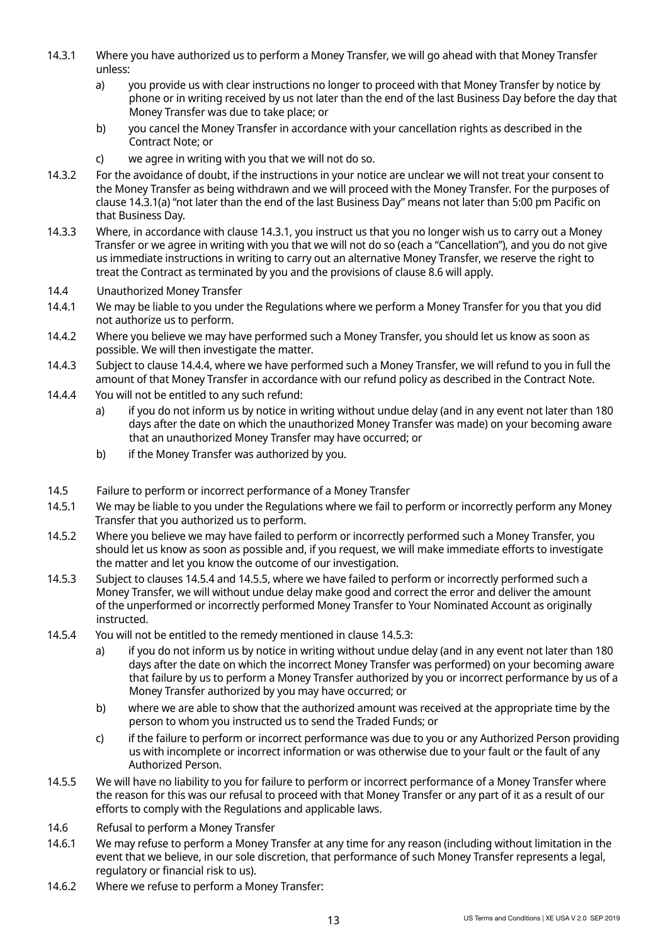- 14.3.1 Where you have authorized us to perform a Money Transfer, we will go ahead with that Money Transfer unless:
	- a) you provide us with clear instructions no longer to proceed with that Money Transfer by notice by phone or in writing received by us not later than the end of the last Business Day before the day that Money Transfer was due to take place; or
	- b) you cancel the Money Transfer in accordance with your cancellation rights as described in the Contract Note; or
	- c) we agree in writing with you that we will not do so.
- 14.3.2 For the avoidance of doubt, if the instructions in your notice are unclear we will not treat your consent to the Money Transfer as being withdrawn and we will proceed with the Money Transfer. For the purposes of clause 14.3.1(a) "not later than the end of the last Business Day" means not later than 5:00 pm Pacific on that Business Day.
- 14.3.3 Where, in accordance with clause 14.3.1, you instruct us that you no longer wish us to carry out a Money Transfer or we agree in writing with you that we will not do so (each a "Cancellation"), and you do not give us immediate instructions in writing to carry out an alternative Money Transfer, we reserve the right to treat the Contract as terminated by you and the provisions of clause 8.6 will apply.

#### 14.4 Unauthorized Money Transfer

- 14.4.1 We may be liable to you under the Regulations where we perform a Money Transfer for you that you did not authorize us to perform.
- 14.4.2 Where you believe we may have performed such a Money Transfer, you should let us know as soon as possible. We will then investigate the matter.
- 14.4.3 Subject to clause 14.4.4, where we have performed such a Money Transfer, we will refund to you in full the amount of that Money Transfer in accordance with our refund policy as described in the Contract Note.
- 14.4.4 You will not be entitled to any such refund:
	- a) if you do not inform us by notice in writing without undue delay (and in any event not later than 180 days after the date on which the unauthorized Money Transfer was made) on your becoming aware that an unauthorized Money Transfer may have occurred; or
	- b) if the Money Transfer was authorized by you.
- 14.5 Failure to perform or incorrect performance of a Money Transfer
- 14.5.1 We may be liable to you under the Regulations where we fail to perform or incorrectly perform any Money Transfer that you authorized us to perform.
- 14.5.2 Where you believe we may have failed to perform or incorrectly performed such a Money Transfer, you should let us know as soon as possible and, if you request, we will make immediate efforts to investigate the matter and let you know the outcome of our investigation.
- 14.5.3 Subject to clauses 14.5.4 and 14.5.5, where we have failed to perform or incorrectly performed such a Money Transfer, we will without undue delay make good and correct the error and deliver the amount of the unperformed or incorrectly performed Money Transfer to Your Nominated Account as originally instructed.
- 14.5.4 You will not be entitled to the remedy mentioned in clause 14.5.3:
	- a) if you do not inform us by notice in writing without undue delay (and in any event not later than 180 days after the date on which the incorrect Money Transfer was performed) on your becoming aware that failure by us to perform a Money Transfer authorized by you or incorrect performance by us of a Money Transfer authorized by you may have occurred; or
	- b) where we are able to show that the authorized amount was received at the appropriate time by the person to whom you instructed us to send the Traded Funds; or
	- c) if the failure to perform or incorrect performance was due to you or any Authorized Person providing us with incomplete or incorrect information or was otherwise due to your fault or the fault of any Authorized Person.
- 14.5.5 We will have no liability to you for failure to perform or incorrect performance of a Money Transfer where the reason for this was our refusal to proceed with that Money Transfer or any part of it as a result of our efforts to comply with the Regulations and applicable laws.
- 14.6 Refusal to perform a Money Transfer
- 14.6.1 We may refuse to perform a Money Transfer at any time for any reason (including without limitation in the event that we believe, in our sole discretion, that performance of such Money Transfer represents a legal, regulatory or financial risk to us).
- 14.6.2 Where we refuse to perform a Money Transfer: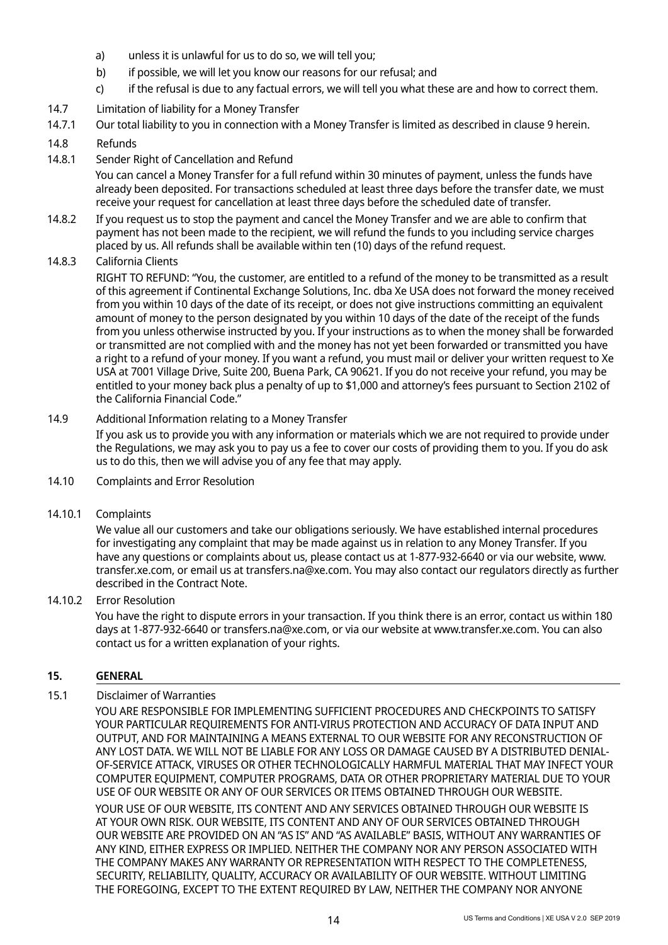- a) unless it is unlawful for us to do so, we will tell you;
- b) if possible, we will let you know our reasons for our refusal; and
- c) if the refusal is due to any factual errors, we will tell you what these are and how to correct them.
- 14.7 Limitation of liability for a Money Transfer
- 14.7.1 Our total liability to you in connection with a Money Transfer is limited as described in clause 9 herein.

# 14.8 Refunds

14.8.1 Sender Right of Cancellation and Refund

You can cancel a Money Transfer for a full refund within 30 minutes of payment, unless the funds have already been deposited. For transactions scheduled at least three days before the transfer date, we must receive your request for cancellation at least three days before the scheduled date of transfer.

14.8.2 If you request us to stop the payment and cancel the Money Transfer and we are able to confirm that payment has not been made to the recipient, we will refund the funds to you including service charges placed by us. All refunds shall be available within ten (10) days of the refund request.

# 14.8.3 California Clients

RIGHT TO REFUND: "You, the customer, are entitled to a refund of the money to be transmitted as a result of this agreement if Continental Exchange Solutions, Inc. dba Xe USA does not forward the money received from you within 10 days of the date of its receipt, or does not give instructions committing an equivalent amount of money to the person designated by you within 10 days of the date of the receipt of the funds from you unless otherwise instructed by you. If your instructions as to when the money shall be forwarded or transmitted are not complied with and the money has not yet been forwarded or transmitted you have a right to a refund of your money. If you want a refund, you must mail or deliver your written request to Xe USA at 7001 Village Drive, Suite 200, Buena Park, CA 90621. If you do not receive your refund, you may be entitled to your money back plus a penalty of up to \$1,000 and attorney's fees pursuant to Section 2102 of the California Financial Code."

#### 14.9 Additional Information relating to a Money Transfer

If you ask us to provide you with any information or materials which we are not required to provide under the Regulations, we may ask you to pay us a fee to cover our costs of providing them to you. If you do ask us to do this, then we will advise you of any fee that may apply.

14.10 Complaints and Error Resolution

#### 14.10.1 Complaints

We value all our customers and take our obligations seriously. We have established internal procedures for investigating any complaint that may be made against us in relation to any Money Transfer. If you have any questions or complaints about us, please contact us at 1-877-932-6640 or via our website, www. transfer.xe.com, or email us at transfers.na@xe.com. You may also contact our regulators directly as further described in the Contract Note.

#### 14.10.2 Error Resolution

You have the right to dispute errors in your transaction. If you think there is an error, contact us within 180 days at 1-877-932-6640 or transfers.na@xe.com, or via our website at www.transfer.xe.com. You can also contact us for a written explanation of your rights.

#### **15. GENERAL**

#### 15.1 Disclaimer of Warranties

YOU ARE RESPONSIBLE FOR IMPLEMENTING SUFFICIENT PROCEDURES AND CHECKPOINTS TO SATISFY YOUR PARTICULAR REQUIREMENTS FOR ANTI-VIRUS PROTECTION AND ACCURACY OF DATA INPUT AND OUTPUT, AND FOR MAINTAINING A MEANS EXTERNAL TO OUR WEBSITE FOR ANY RECONSTRUCTION OF ANY LOST DATA. WE WILL NOT BE LIABLE FOR ANY LOSS OR DAMAGE CAUSED BY A DISTRIBUTED DENIAL-OF-SERVICE ATTACK, VIRUSES OR OTHER TECHNOLOGICALLY HARMFUL MATERIAL THAT MAY INFECT YOUR COMPUTER EQUIPMENT, COMPUTER PROGRAMS, DATA OR OTHER PROPRIETARY MATERIAL DUE TO YOUR USE OF OUR WEBSITE OR ANY OF OUR SERVICES OR ITEMS OBTAINED THROUGH OUR WEBSITE. YOUR USE OF OUR WEBSITE, ITS CONTENT AND ANY SERVICES OBTAINED THROUGH OUR WEBSITE IS AT YOUR OWN RISK. OUR WEBSITE, ITS CONTENT AND ANY OF OUR SERVICES OBTAINED THROUGH OUR WEBSITE ARE PROVIDED ON AN "AS IS" AND "AS AVAILABLE" BASIS, WITHOUT ANY WARRANTIES OF ANY KIND, EITHER EXPRESS OR IMPLIED. NEITHER THE COMPANY NOR ANY PERSON ASSOCIATED WITH THE COMPANY MAKES ANY WARRANTY OR REPRESENTATION WITH RESPECT TO THE COMPLETENESS, SECURITY, RELIABILITY, QUALITY, ACCURACY OR AVAILABILITY OF OUR WEBSITE. WITHOUT LIMITING THE FOREGOING, EXCEPT TO THE EXTENT REQUIRED BY LAW, NEITHER THE COMPANY NOR ANYONE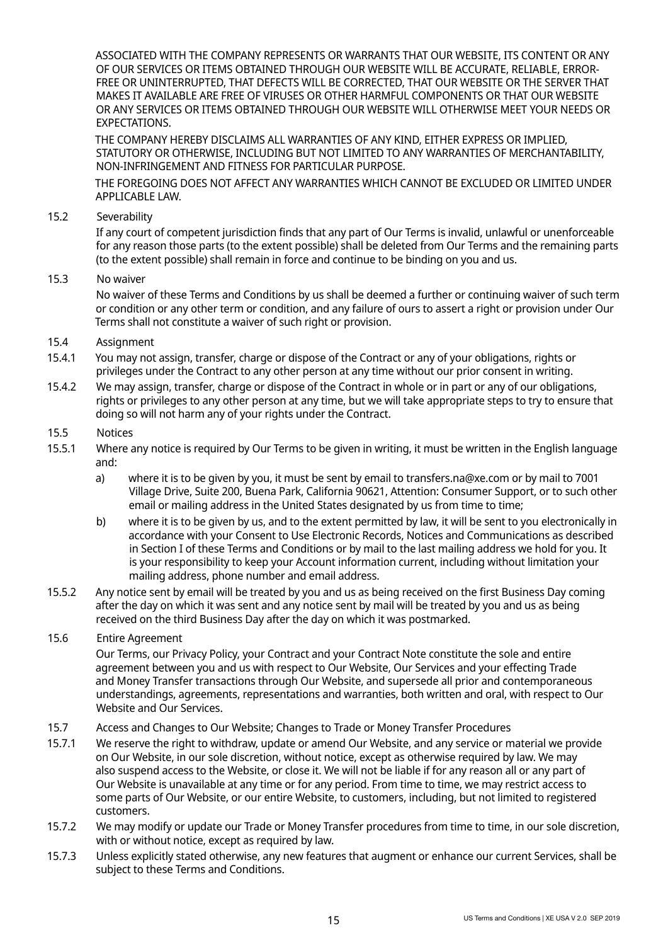ASSOCIATED WITH THE COMPANY REPRESENTS OR WARRANTS THAT OUR WEBSITE, ITS CONTENT OR ANY OF OUR SERVICES OR ITEMS OBTAINED THROUGH OUR WEBSITE WILL BE ACCURATE, RELIABLE, ERROR-FREE OR UNINTERRUPTED, THAT DEFECTS WILL BE CORRECTED, THAT OUR WEBSITE OR THE SERVER THAT MAKES IT AVAILABLE ARE FREE OF VIRUSES OR OTHER HARMFUL COMPONENTS OR THAT OUR WEBSITE OR ANY SERVICES OR ITEMS OBTAINED THROUGH OUR WEBSITE WILL OTHERWISE MEET YOUR NEEDS OR EXPECTATIONS.

THE COMPANY HEREBY DISCLAIMS ALL WARRANTIES OF ANY KIND, EITHER EXPRESS OR IMPLIED, STATUTORY OR OTHERWISE, INCLUDING BUT NOT LIMITED TO ANY WARRANTIES OF MERCHANTABILITY, NON-INFRINGEMENT AND FITNESS FOR PARTICULAR PURPOSE.

THE FOREGOING DOES NOT AFFECT ANY WARRANTIES WHICH CANNOT BE EXCLUDED OR LIMITED UNDER APPLICABLE LAW.

15.2 Severability

If any court of competent jurisdiction finds that any part of Our Terms is invalid, unlawful or unenforceable for any reason those parts (to the extent possible) shall be deleted from Our Terms and the remaining parts (to the extent possible) shall remain in force and continue to be binding on you and us.

15.3 No waiver

No waiver of these Terms and Conditions by us shall be deemed a further or continuing waiver of such term or condition or any other term or condition, and any failure of ours to assert a right or provision under Our Terms shall not constitute a waiver of such right or provision.

- 15.4 Assignment
- 15.4.1 You may not assign, transfer, charge or dispose of the Contract or any of your obligations, rights or privileges under the Contract to any other person at any time without our prior consent in writing.
- 15.4.2 We may assign, transfer, charge or dispose of the Contract in whole or in part or any of our obligations, rights or privileges to any other person at any time, but we will take appropriate steps to try to ensure that doing so will not harm any of your rights under the Contract.
- 15.5 Notices
- 15.5.1 Where any notice is required by Our Terms to be given in writing, it must be written in the English language and:
	- a) where it is to be given by you, it must be sent by email to transfers.na@xe.com or by mail to 7001 Village Drive, Suite 200, Buena Park, California 90621, Attention: Consumer Support, or to such other email or mailing address in the United States designated by us from time to time;
	- b) where it is to be given by us, and to the extent permitted by law, it will be sent to you electronically in accordance with your Consent to Use Electronic Records, Notices and Communications as described in Section I of these Terms and Conditions or by mail to the last mailing address we hold for you. It is your responsibility to keep your Account information current, including without limitation your mailing address, phone number and email address.
- 15.5.2 Any notice sent by email will be treated by you and us as being received on the first Business Day coming after the day on which it was sent and any notice sent by mail will be treated by you and us as being received on the third Business Day after the day on which it was postmarked.
- 15.6 Entire Agreement

Our Terms, our Privacy Policy, your Contract and your Contract Note constitute the sole and entire agreement between you and us with respect to Our Website, Our Services and your effecting Trade and Money Transfer transactions through Our Website, and supersede all prior and contemporaneous understandings, agreements, representations and warranties, both written and oral, with respect to Our Website and Our Services.

- 15.7 Access and Changes to Our Website; Changes to Trade or Money Transfer Procedures
- 15.7.1 We reserve the right to withdraw, update or amend Our Website, and any service or material we provide on Our Website, in our sole discretion, without notice, except as otherwise required by law. We may also suspend access to the Website, or close it. We will not be liable if for any reason all or any part of Our Website is unavailable at any time or for any period. From time to time, we may restrict access to some parts of Our Website, or our entire Website, to customers, including, but not limited to registered customers.
- 15.7.2 We may modify or update our Trade or Money Transfer procedures from time to time, in our sole discretion, with or without notice, except as required by law.
- 15.7.3 Unless explicitly stated otherwise, any new features that augment or enhance our current Services, shall be subject to these Terms and Conditions.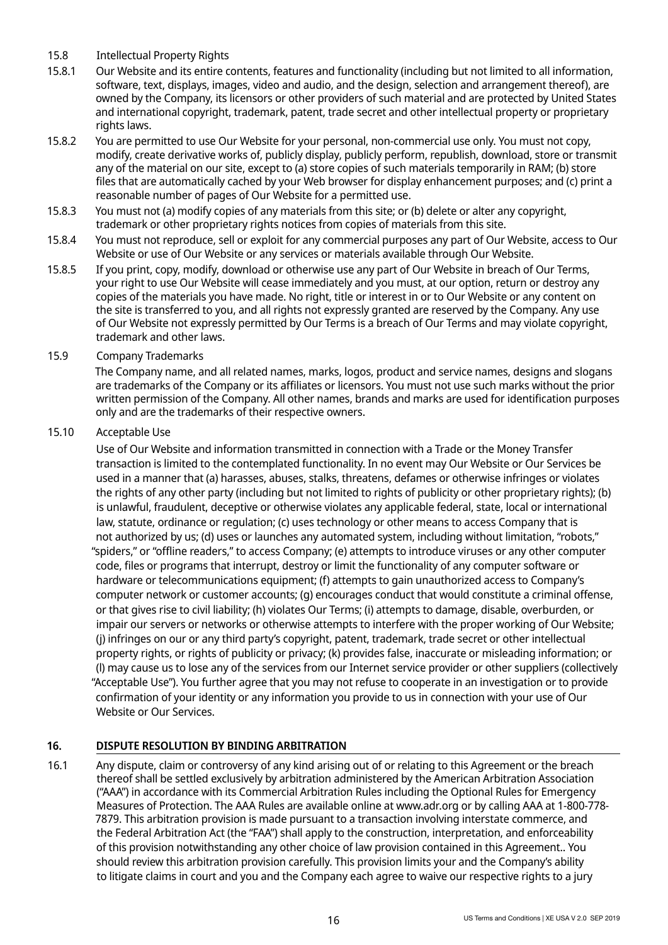- 15.8 Intellectual Property Rights
- 15.8.1 Our Website and its entire contents, features and functionality (including but not limited to all information, software, text, displays, images, video and audio, and the design, selection and arrangement thereof), are owned by the Company, its licensors or other providers of such material and are protected by United States and international copyright, trademark, patent, trade secret and other intellectual property or proprietary rights laws.
- 15.8.2 You are permitted to use Our Website for your personal, non-commercial use only. You must not copy, modify, create derivative works of, publicly display, publicly perform, republish, download, store or transmit any of the material on our site, except to (a) store copies of such materials temporarily in RAM; (b) store files that are automatically cached by your Web browser for display enhancement purposes; and (c) print a reasonable number of pages of Our Website for a permitted use.
- 15.8.3 You must not (a) modify copies of any materials from this site; or (b) delete or alter any copyright, trademark or other proprietary rights notices from copies of materials from this site.
- 15.8.4 You must not reproduce, sell or exploit for any commercial purposes any part of Our Website, access to Our Website or use of Our Website or any services or materials available through Our Website.
- 15.8.5 If you print, copy, modify, download or otherwise use any part of Our Website in breach of Our Terms, your right to use Our Website will cease immediately and you must, at our option, return or destroy any copies of the materials you have made. No right, title or interest in or to Our Website or any content on the site is transferred to you, and all rights not expressly granted are reserved by the Company. Any use of Our Website not expressly permitted by Our Terms is a breach of Our Terms and may violate copyright, trademark and other laws.

#### 15.9 Company Trademarks

The Company name, and all related names, marks, logos, product and service names, designs and slogans are trademarks of the Company or its affiliates or licensors. You must not use such marks without the prior written permission of the Company. All other names, brands and marks are used for identification purposes only and are the trademarks of their respective owners.

#### 15.10 Acceptable Use

Use of Our Website and information transmitted in connection with a Trade or the Money Transfer transaction is limited to the contemplated functionality. In no event may Our Website or Our Services be used in a manner that (a) harasses, abuses, stalks, threatens, defames or otherwise infringes or violates the rights of any other party (including but not limited to rights of publicity or other proprietary rights); (b) is unlawful, fraudulent, deceptive or otherwise violates any applicable federal, state, local or international law, statute, ordinance or regulation; (c) uses technology or other means to access Company that is not authorized by us; (d) uses or launches any automated system, including without limitation, "robots," "spiders," or "offline readers," to access Company; (e) attempts to introduce viruses or any other computer code, files or programs that interrupt, destroy or limit the functionality of any computer software or hardware or telecommunications equipment; (f) attempts to gain unauthorized access to Company's computer network or customer accounts; (g) encourages conduct that would constitute a criminal offense, or that gives rise to civil liability; (h) violates Our Terms; (i) attempts to damage, disable, overburden, or impair our servers or networks or otherwise attempts to interfere with the proper working of Our Website; (j) infringes on our or any third party's copyright, patent, trademark, trade secret or other intellectual property rights, or rights of publicity or privacy; (k) provides false, inaccurate or misleading information; or (l) may cause us to lose any of the services from our Internet service provider or other suppliers (collectively "Acceptable Use"). You further agree that you may not refuse to cooperate in an investigation or to provide confirmation of your identity or any information you provide to us in connection with your use of Our Website or Our Services.

#### **16. DISPUTE RESOLUTION BY BINDING ARBITRATION**

16.1 Any dispute, claim or controversy of any kind arising out of or relating to this Agreement or the breach thereof shall be settled exclusively by arbitration administered by the American Arbitration Association ("AAA") in accordance with its Commercial Arbitration Rules including the Optional Rules for Emergency Measures of Protection. The AAA Rules are available online at www.adr.org or by calling AAA at 1-800-778- 7879. This arbitration provision is made pursuant to a transaction involving interstate commerce, and the Federal Arbitration Act (the "FAA") shall apply to the construction, interpretation, and enforceability of this provision notwithstanding any other choice of law provision contained in this Agreement.. You should review this arbitration provision carefully. This provision limits your and the Company's ability to litigate claims in court and you and the Company each agree to waive our respective rights to a jury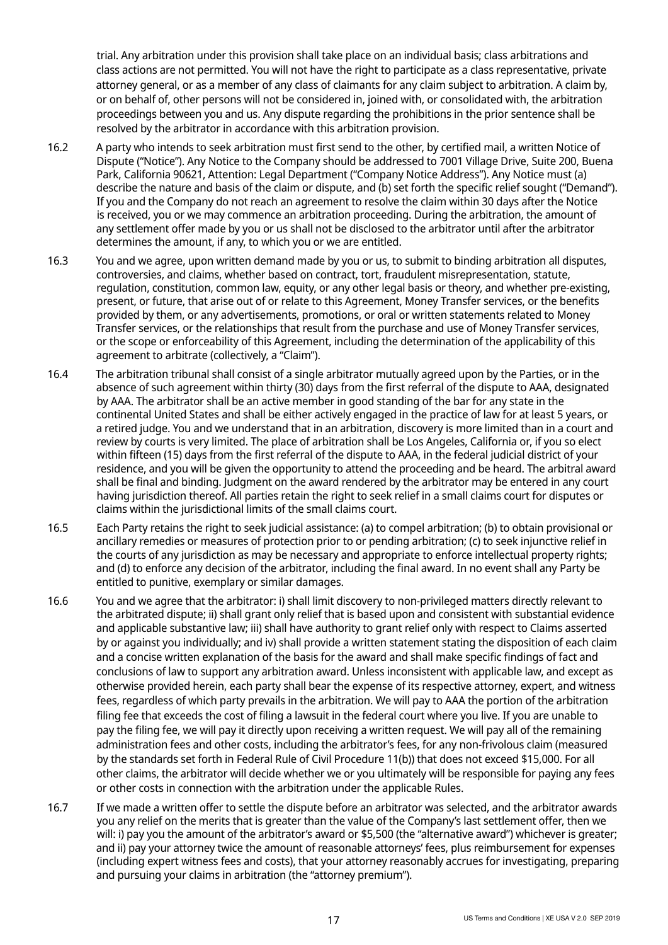trial. Any arbitration under this provision shall take place on an individual basis; class arbitrations and class actions are not permitted. You will not have the right to participate as a class representative, private attorney general, or as a member of any class of claimants for any claim subject to arbitration. A claim by, or on behalf of, other persons will not be considered in, joined with, or consolidated with, the arbitration proceedings between you and us. Any dispute regarding the prohibitions in the prior sentence shall be resolved by the arbitrator in accordance with this arbitration provision.

- 16.2 A party who intends to seek arbitration must first send to the other, by certified mail, a written Notice of Dispute ("Notice"). Any Notice to the Company should be addressed to 7001 Village Drive, Suite 200, Buena Park, California 90621, Attention: Legal Department ("Company Notice Address"). Any Notice must (a) describe the nature and basis of the claim or dispute, and (b) set forth the specific relief sought ("Demand"). If you and the Company do not reach an agreement to resolve the claim within 30 days after the Notice is received, you or we may commence an arbitration proceeding. During the arbitration, the amount of any settlement offer made by you or us shall not be disclosed to the arbitrator until after the arbitrator determines the amount, if any, to which you or we are entitled.
- 16.3 You and we agree, upon written demand made by you or us, to submit to binding arbitration all disputes, controversies, and claims, whether based on contract, tort, fraudulent misrepresentation, statute, regulation, constitution, common law, equity, or any other legal basis or theory, and whether pre-existing, present, or future, that arise out of or relate to this Agreement, Money Transfer services, or the benefits provided by them, or any advertisements, promotions, or oral or written statements related to Money Transfer services, or the relationships that result from the purchase and use of Money Transfer services, or the scope or enforceability of this Agreement, including the determination of the applicability of this agreement to arbitrate (collectively, a "Claim").
- 16.4 The arbitration tribunal shall consist of a single arbitrator mutually agreed upon by the Parties, or in the absence of such agreement within thirty (30) days from the first referral of the dispute to AAA, designated by AAA. The arbitrator shall be an active member in good standing of the bar for any state in the continental United States and shall be either actively engaged in the practice of law for at least 5 years, or a retired judge. You and we understand that in an arbitration, discovery is more limited than in a court and review by courts is very limited. The place of arbitration shall be Los Angeles, California or, if you so elect within fifteen (15) days from the first referral of the dispute to AAA, in the federal judicial district of your residence, and you will be given the opportunity to attend the proceeding and be heard. The arbitral award shall be final and binding. Judgment on the award rendered by the arbitrator may be entered in any court having jurisdiction thereof. All parties retain the right to seek relief in a small claims court for disputes or claims within the jurisdictional limits of the small claims court.
- 16.5 Each Party retains the right to seek judicial assistance: (a) to compel arbitration; (b) to obtain provisional or ancillary remedies or measures of protection prior to or pending arbitration; (c) to seek injunctive relief in the courts of any jurisdiction as may be necessary and appropriate to enforce intellectual property rights; and (d) to enforce any decision of the arbitrator, including the final award. In no event shall any Party be entitled to punitive, exemplary or similar damages.
- 16.6 You and we agree that the arbitrator: i) shall limit discovery to non-privileged matters directly relevant to the arbitrated dispute; ii) shall grant only relief that is based upon and consistent with substantial evidence and applicable substantive law; iii) shall have authority to grant relief only with respect to Claims asserted by or against you individually; and iv) shall provide a written statement stating the disposition of each claim and a concise written explanation of the basis for the award and shall make specific findings of fact and conclusions of law to support any arbitration award. Unless inconsistent with applicable law, and except as otherwise provided herein, each party shall bear the expense of its respective attorney, expert, and witness fees, regardless of which party prevails in the arbitration. We will pay to AAA the portion of the arbitration filing fee that exceeds the cost of filing a lawsuit in the federal court where you live. If you are unable to pay the filing fee, we will pay it directly upon receiving a written request. We will pay all of the remaining administration fees and other costs, including the arbitrator's fees, for any non-frivolous claim (measured by the standards set forth in Federal Rule of Civil Procedure 11(b)) that does not exceed \$15,000. For all other claims, the arbitrator will decide whether we or you ultimately will be responsible for paying any fees or other costs in connection with the arbitration under the applicable Rules.
- 16.7 If we made a written offer to settle the dispute before an arbitrator was selected, and the arbitrator awards you any relief on the merits that is greater than the value of the Company's last settlement offer, then we will: i) pay you the amount of the arbitrator's award or \$5,500 (the "alternative award") whichever is greater; and ii) pay your attorney twice the amount of reasonable attorneys' fees, plus reimbursement for expenses (including expert witness fees and costs), that your attorney reasonably accrues for investigating, preparing and pursuing your claims in arbitration (the "attorney premium").